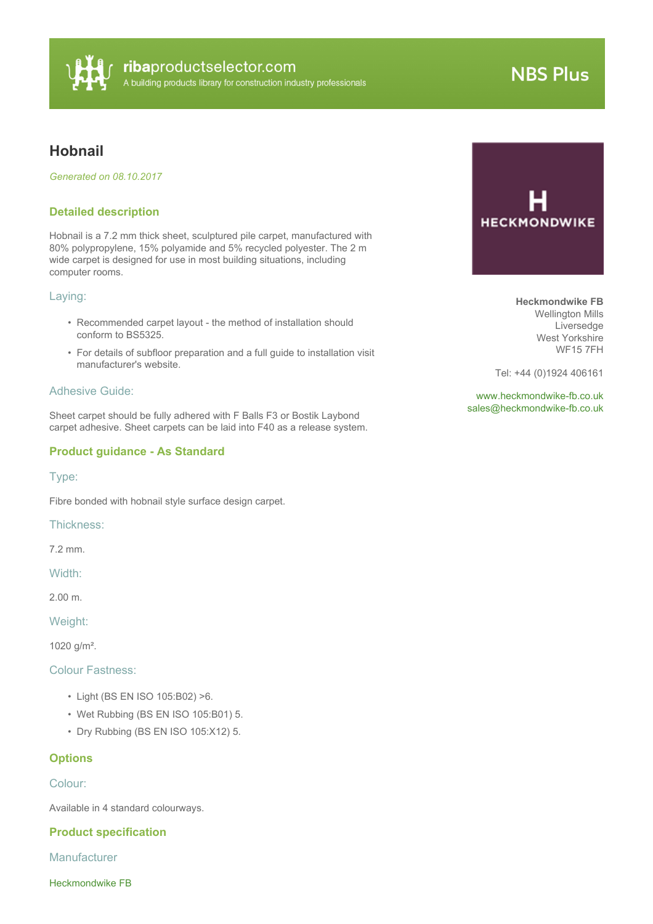

# **NBS Plus**

# **Hobnail**

*Generated on 08.10.2017*

## **Detailed description**

Hobnail is a 7.2 mm thick sheet, sculptured pile carpet, manufactured with 80% polypropylene, 15% polyamide and 5% recycled polyester. The 2 m wide carpet is designed for use in most building situations, including computer rooms.

#### Laying:

- Recommended carpet layout the method of installation should conform to BS5325.
- For details of subfloor preparation and a full guide to installation visit manufacturer's website.

# Adhesive Guide:

Sheet carpet should be fully adhered with F Balls F3 or Bostik Laybond carpet adhesive. Sheet carpets can be laid into F40 as a release system.

### **Product guidance - As Standard**

Type:

Fibre bonded with hobnail style surface design carpet.

Thickness:

7.2 mm.

Width:

2.00 m.

Weight:

1020 g/m².

Colour Fastness:

- Light (BS EN ISO 105:B02) >6.
- Wet Rubbing (BS EN ISO 105:B01) 5.
- Dry Rubbing (BS EN ISO 105:X12) 5.

#### **Options**

Colour:

Available in 4 standard colourways.

#### **Product specification**

Manufacturer

Heckmondwike FB



**Heckmondwike FB** Wellington Mills Liversedge West Yorkshire WF15 7FH

Tel: +44 (0)1924 406161

<www.heckmondwike-fb.co.uk> [sales@heckmondwike-fb.co.uk](mailto:sales@heckmondwike-fb.co.uk?subject=Hobnail)